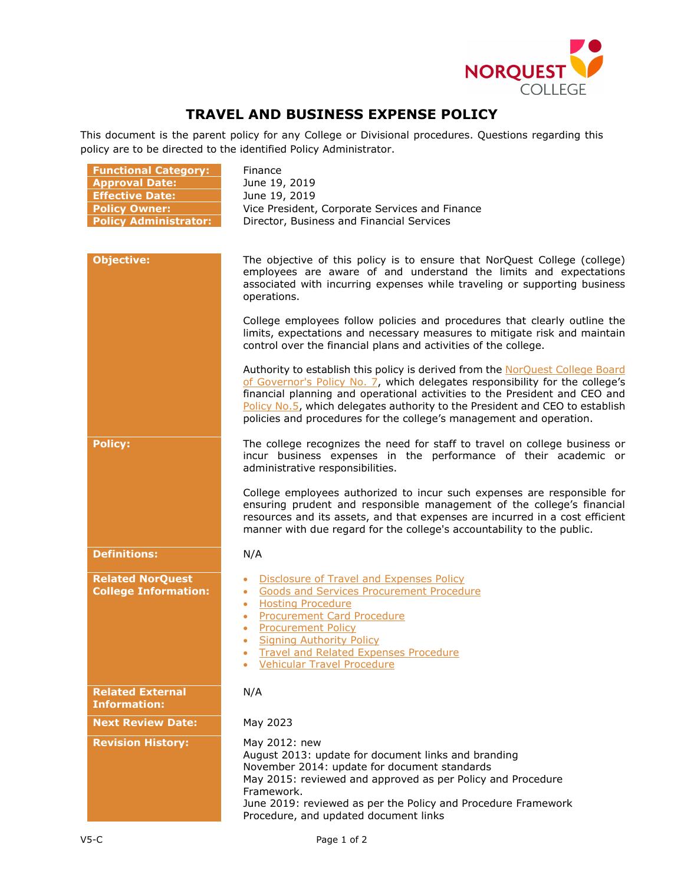

## **TRAVEL AND BUSINESS EXPENSE POLICY**

This document is the parent policy for any College or Divisional procedures. Questions regarding this policy are to be directed to the identified Policy Administrator.

| <b>Functional Category:</b><br><b>Approval Date:</b>   | Finance<br>June 19, 2019                                                                                                                                                                                                                                                                                                                                                                           |
|--------------------------------------------------------|----------------------------------------------------------------------------------------------------------------------------------------------------------------------------------------------------------------------------------------------------------------------------------------------------------------------------------------------------------------------------------------------------|
| <b>Effective Date:</b>                                 | June 19, 2019                                                                                                                                                                                                                                                                                                                                                                                      |
| <b>Policy Owner:</b>                                   | Vice President, Corporate Services and Finance                                                                                                                                                                                                                                                                                                                                                     |
| <b>Policy Administrator:</b>                           | Director, Business and Financial Services                                                                                                                                                                                                                                                                                                                                                          |
|                                                        |                                                                                                                                                                                                                                                                                                                                                                                                    |
| <b>Objective:</b>                                      | The objective of this policy is to ensure that NorQuest College (college)<br>employees are aware of and understand the limits and expectations<br>associated with incurring expenses while traveling or supporting business<br>operations.                                                                                                                                                         |
|                                                        | College employees follow policies and procedures that clearly outline the<br>limits, expectations and necessary measures to mitigate risk and maintain<br>control over the financial plans and activities of the college.                                                                                                                                                                          |
|                                                        | Authority to establish this policy is derived from the NorQuest College Board<br>of Governor's Policy No. 7, which delegates responsibility for the college's<br>financial planning and operational activities to the President and CEO and<br>Policy No.5, which delegates authority to the President and CEO to establish<br>policies and procedures for the college's management and operation. |
| <b>Policy:</b>                                         | The college recognizes the need for staff to travel on college business or<br>incur business expenses in the performance of their academic or<br>administrative responsibilities.                                                                                                                                                                                                                  |
|                                                        | College employees authorized to incur such expenses are responsible for<br>ensuring prudent and responsible management of the college's financial<br>resources and its assets, and that expenses are incurred in a cost efficient<br>manner with due regard for the college's accountability to the public.                                                                                        |
| <b>Definitions:</b>                                    | N/A                                                                                                                                                                                                                                                                                                                                                                                                |
| <b>Related NorQuest</b><br><b>College Information:</b> | Disclosure of Travel and Expenses Policy<br><b>Goods and Services Procurement Procedure</b><br>$\bullet$<br><b>Hosting Procedure</b><br>$\bullet$<br><b>Procurement Card Procedure</b><br>$\bullet$<br><b>Procurement Policy</b><br><b>Signing Authority Policy</b><br><b>Travel and Related Expenses Procedure</b><br><b>Vehicular Travel Procedure</b>                                           |
| <b>Related External</b><br><b>Information:</b>         | N/A                                                                                                                                                                                                                                                                                                                                                                                                |
| <b>Next Review Date:</b>                               | May 2023                                                                                                                                                                                                                                                                                                                                                                                           |
| <b>Revision History:</b>                               | May 2012: new<br>August 2013: update for document links and branding<br>November 2014: update for document standards<br>May 2015: reviewed and approved as per Policy and Procedure<br>Framework.<br>June 2019: reviewed as per the Policy and Procedure Framework<br>Procedure, and updated document links                                                                                        |